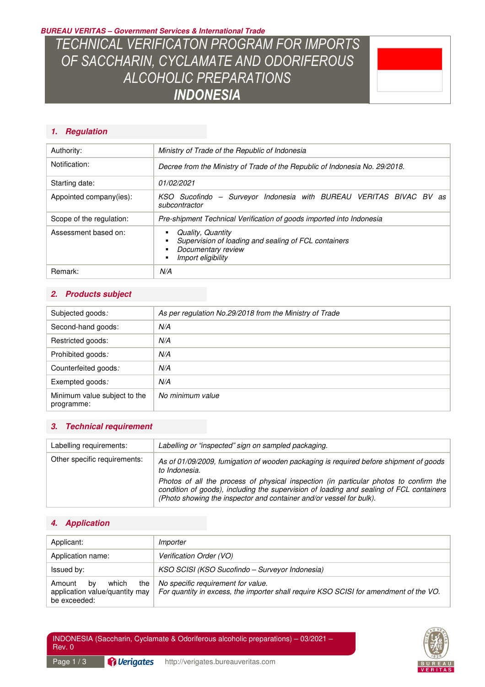**BUREAU VERITAS – Government Services & International Trade** 

*TECHNICAL VERIFICATON PROGRAM FOR IMPORTS OF SACCHARIN, CYCLAMATE AND ODORIFEROUS ALCOHOLIC PREPARATIONS INDONESIA* 

# **1. Regulation**

| Authority:               | Ministry of Trade of the Republic of Indonesia                                                                        |  |
|--------------------------|-----------------------------------------------------------------------------------------------------------------------|--|
| Notification:            | Decree from the Ministry of Trade of the Republic of Indonesia No. 29/2018.                                           |  |
| Starting date:           | 01/02/2021                                                                                                            |  |
| Appointed company(ies):  | KSO Sucofindo - Surveyor Indonesia with BUREAU VERITAS BIVAC BV<br>as<br>subcontractor                                |  |
| Scope of the regulation: | Pre-shipment Technical Verification of goods imported into Indonesia                                                  |  |
| Assessment based on:     | Quality, Quantity<br>Supervision of loading and sealing of FCL containers<br>Documentary review<br>Import eligibility |  |
| Remark:                  | N/A                                                                                                                   |  |

# **2. Products subject**

| Subjected goods:                           | As per regulation No.29/2018 from the Ministry of Trade |
|--------------------------------------------|---------------------------------------------------------|
| Second-hand goods:                         | N/A                                                     |
| Restricted goods:                          | N/A                                                     |
| Prohibited goods:                          | N/A                                                     |
| Counterfeited goods:                       | N/A                                                     |
| Exempted goods:                            | N/A                                                     |
| Minimum value subject to the<br>programme: | No minimum value                                        |

# **3. Technical requirement**

| Labelling requirements:      | Labelling or "inspected" sign on sampled packaging.                                                                                                                                                                                                                                                                                                               |
|------------------------------|-------------------------------------------------------------------------------------------------------------------------------------------------------------------------------------------------------------------------------------------------------------------------------------------------------------------------------------------------------------------|
| Other specific requirements: | As of 01/09/2009, fumigation of wooden packaging is required before shipment of goods<br>to Indonesia.<br>Photos of all the process of physical inspection (in particular photos to confirm the<br>condition of goods), including the supervision of loading and sealing of FCL containers<br>(Photo showing the inspector and container and/or vessel for bulk). |

# **4. Application**

| Applicant:                                                                     | Importer                                                                                                                    |
|--------------------------------------------------------------------------------|-----------------------------------------------------------------------------------------------------------------------------|
| Application name:                                                              | Verification Order (VO)                                                                                                     |
| Issued by:                                                                     | KSO SCISI (KSO Sucofindo – Surveyor Indonesia)                                                                              |
| which<br>the<br>Amount<br>bv<br>application value/quantity may<br>be exceeded: | No specific requirement for value.<br>For quantity in excess, the importer shall require KSO SCISI for amendment of the VO. |

Page 1 / 3 **Pillerigates** http://verigates.bureauveritas.com

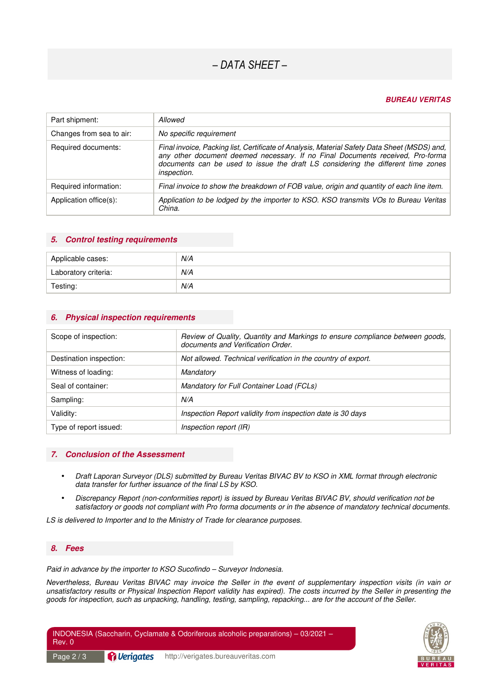# *– DATA SHEET –*

#### **BUREAU VERITAS**

| Part shipment:           | Allowed                                                                                                                                                                                                                                                                                  |
|--------------------------|------------------------------------------------------------------------------------------------------------------------------------------------------------------------------------------------------------------------------------------------------------------------------------------|
| Changes from sea to air: | No specific requirement                                                                                                                                                                                                                                                                  |
| Required documents:      | Final invoice, Packing list, Certificate of Analysis, Material Safety Data Sheet (MSDS) and,<br>any other document deemed necessary. If no Final Documents received, Pro-forma<br>documents can be used to issue the draft LS considering the different time zones<br><i>inspection.</i> |
| Required information:    | Final invoice to show the breakdown of FOB value, origin and quantity of each line item.                                                                                                                                                                                                 |
| Application office(s):   | Application to be lodged by the importer to KSO. KSO transmits VOs to Bureau Veritas<br>China.                                                                                                                                                                                           |

#### **5. Control testing requirements**

| Applicable cases:    | N/A |
|----------------------|-----|
| Laboratory criteria: | N/A |
| Testing:             | N/A |

#### **6. Physical inspection requirements**

| Scope of inspection:    | Review of Quality, Quantity and Markings to ensure compliance between goods,<br>documents and Verification Order. |
|-------------------------|-------------------------------------------------------------------------------------------------------------------|
| Destination inspection: | Not allowed. Technical verification in the country of export.                                                     |
| Witness of loading:     | Mandatory                                                                                                         |
| Seal of container:      | Mandatory for Full Container Load (FCLs)                                                                          |
| Sampling:               | N/A                                                                                                               |
| Validity:               | Inspection Report validity from inspection date is 30 days                                                        |
| Type of report issued:  | Inspection report (IR)                                                                                            |

#### **7. Conclusion of the Assessment**

- *Draft Laporan Surveyor (DLS) submitted by Bureau Veritas BIVAC BV to KSO in XML format through electronic data transfer for further issuance of the final LS by KSO.*
- *Discrepancy Report (non-conformities report) is issued by Bureau Veritas BIVAC BV, should verification not be satisfactory or goods not compliant with Pro forma documents or in the absence of mandatory technical documents.*

*LS is delivered to Importer and to the Ministry of Trade for clearance purposes.* 

### **8. Fees**

*Paid in advance by the importer to KSO Sucofindo – Surveyor Indonesia.* 

*Nevertheless, Bureau Veritas BIVAC may invoice the Seller in the event of supplementary inspection visits (in vain or unsatisfactory results or Physical Inspection Report validity has expired). The costs incurred by the Seller in presenting the goods for inspection, such as unpacking, handling, testing, sampling, repacking... are for the account of the Seller.*